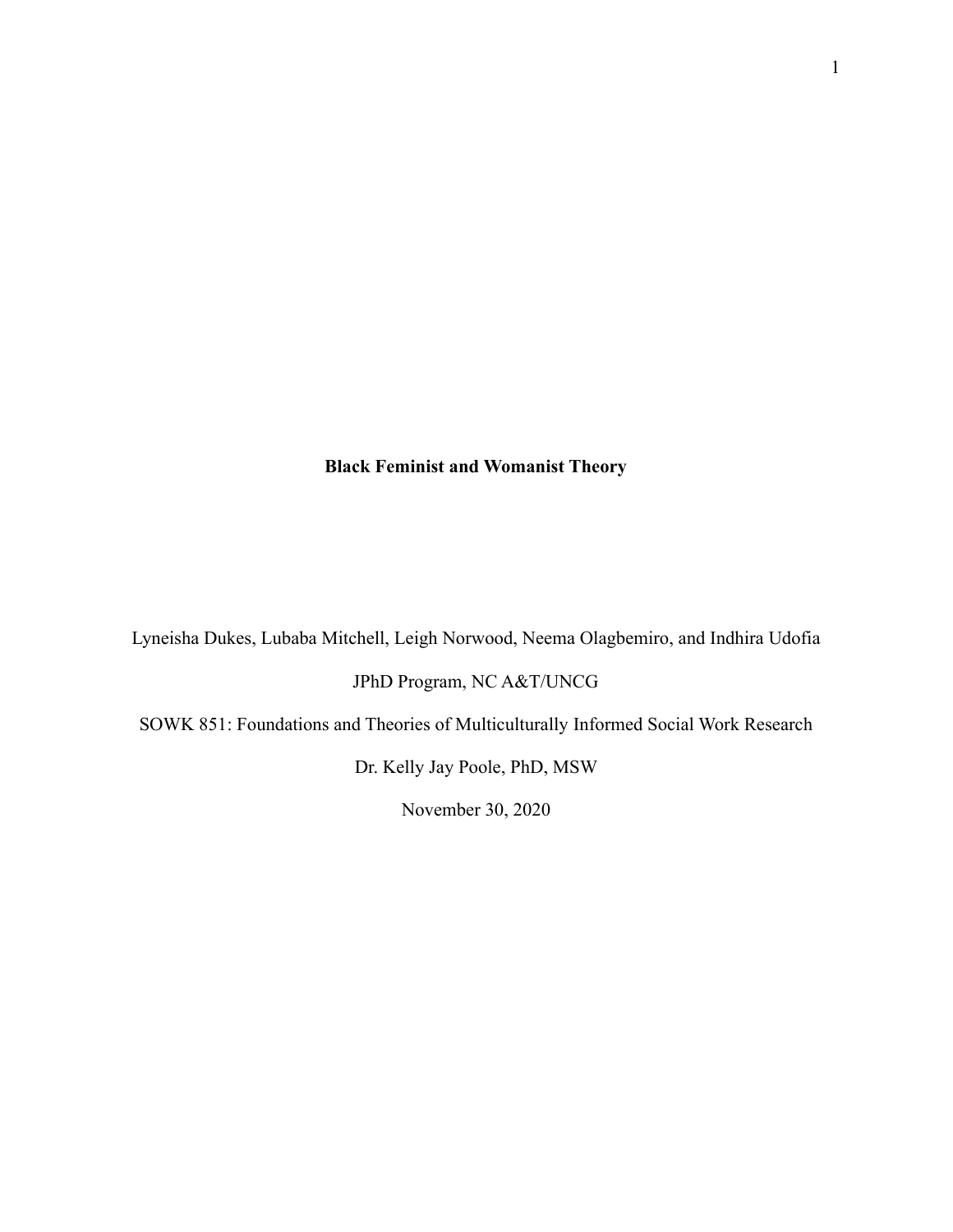# **Black Feminist and Womanist Theory**

Lyneisha Dukes, Lubaba Mitchell, Leigh Norwood, Neema Olagbemiro, and Indhira Udofia JPhD Program, NC A&T/UNCG

SOWK 851: Foundations and Theories of Multiculturally Informed Social Work Research

Dr. Kelly Jay Poole, PhD, MSW

November 30, 2020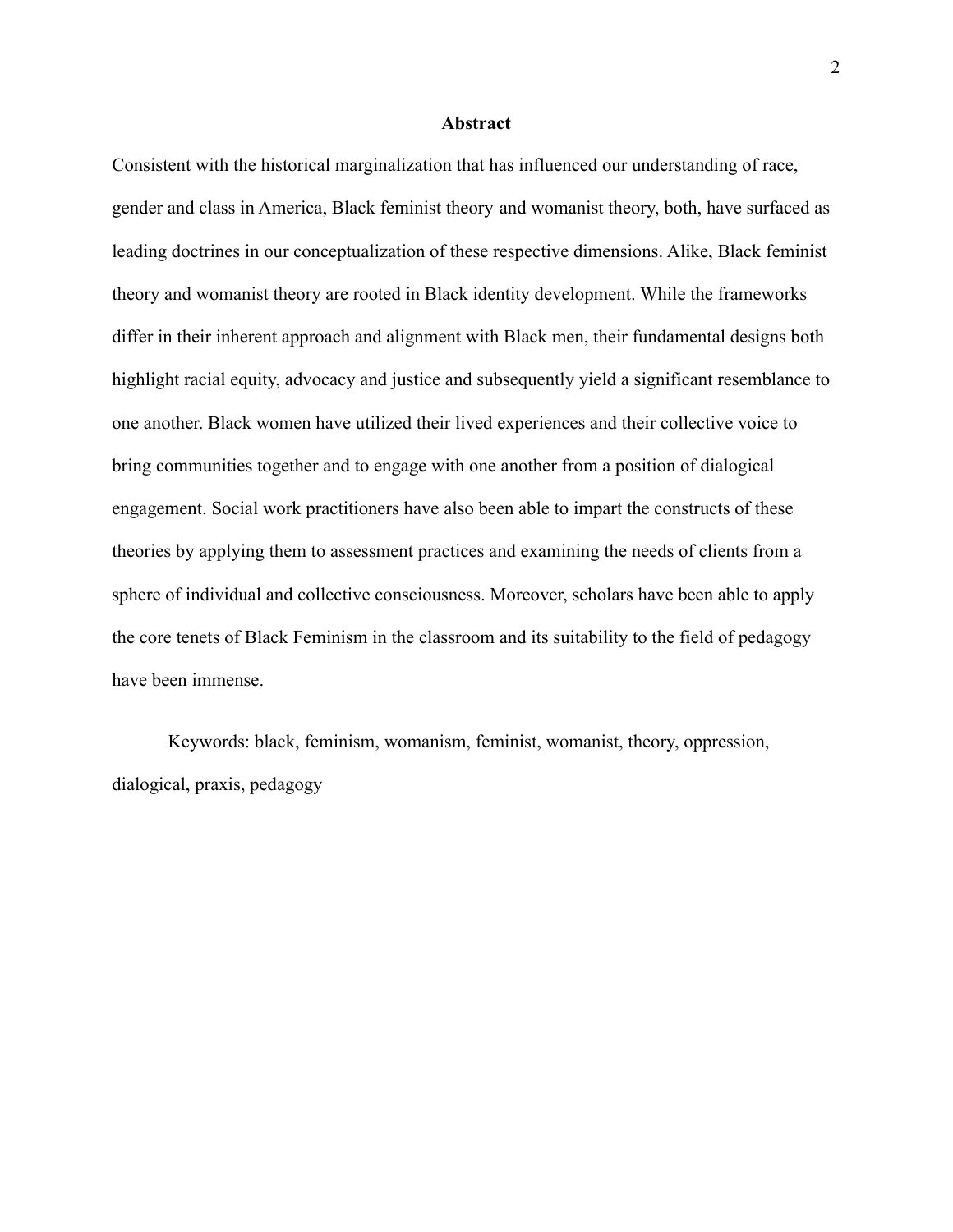#### **Abstract**

Consistent with the historical marginalization that has influenced our understanding of race, gender and class in America, Black feminist theory and womanist theory, both, have surfaced as leading doctrines in our conceptualization of these respective dimensions. Alike, Black feminist theory and womanist theory are rooted in Black identity development. While the frameworks differ in their inherent approach and alignment with Black men, their fundamental designs both highlight racial equity, advocacy and justice and subsequently yield a significant resemblance to one another. Black women have utilized their lived experiences and their collective voice to bring communities together and to engage with one another from a position of dialogical engagement. Social work practitioners have also been able to impart the constructs of these theories by applying them to assessment practices and examining the needs of clients from a sphere of individual and collective consciousness. Moreover, scholars have been able to apply the core tenets of Black Feminism in the classroom and its suitability to the field of pedagogy have been immense.

Keywords: black, feminism, womanism, feminist, womanist, theory, oppression, dialogical, praxis, pedagogy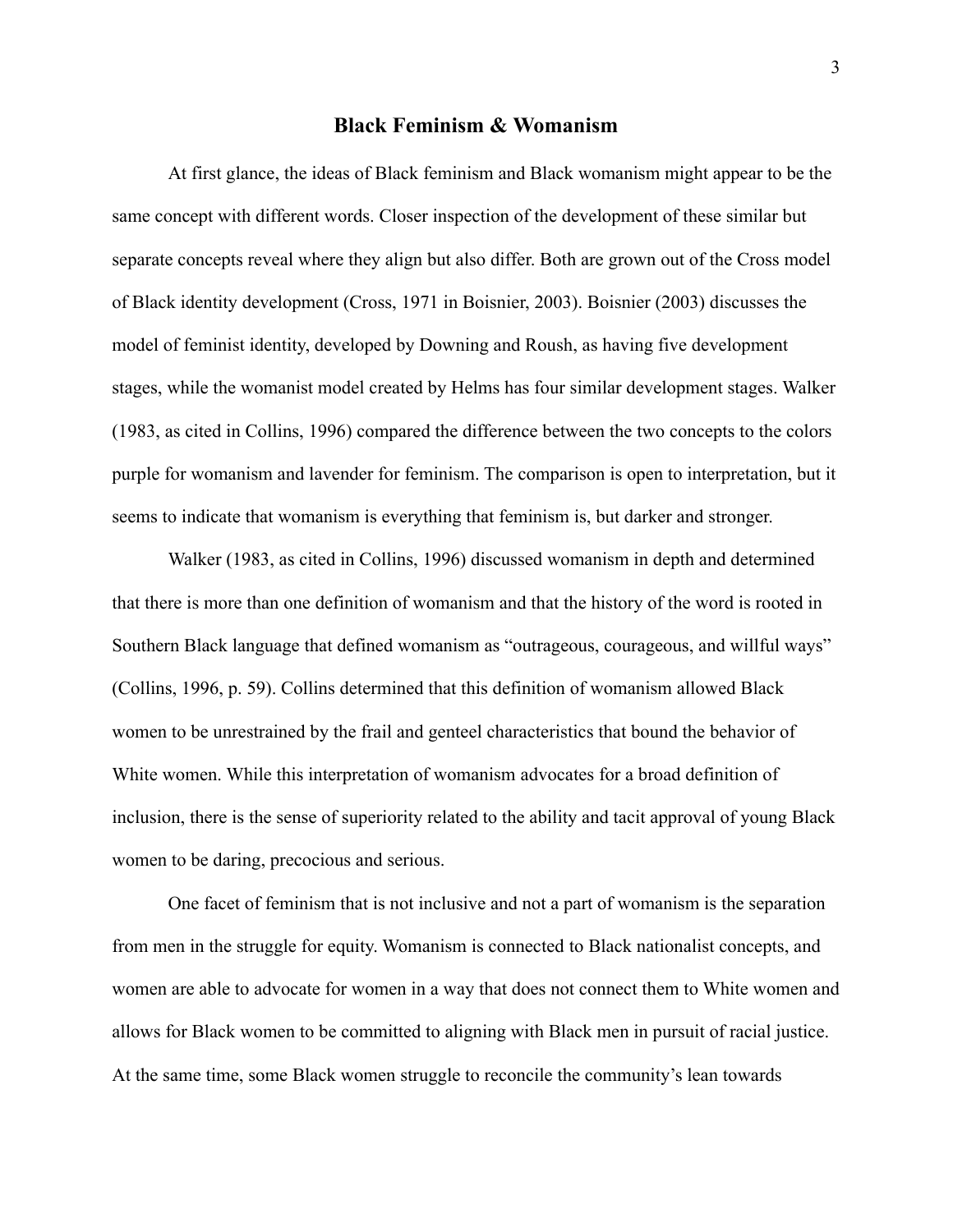#### **Black Feminism & Womanism**

At first glance, the ideas of Black feminism and Black womanism might appear to be the same concept with different words. Closer inspection of the development of these similar but separate concepts reveal where they align but also differ. Both are grown out of the Cross model of Black identity development (Cross, 1971 in Boisnier, 2003). Boisnier (2003) discusses the model of feminist identity, developed by Downing and Roush, as having five development stages, while the womanist model created by Helms has four similar development stages. Walker (1983, as cited in Collins, 1996) compared the difference between the two concepts to the colors purple for womanism and lavender for feminism. The comparison is open to interpretation, but it seems to indicate that womanism is everything that feminism is, but darker and stronger.

Walker (1983, as cited in Collins, 1996) discussed womanism in depth and determined that there is more than one definition of womanism and that the history of the word is rooted in Southern Black language that defined womanism as "outrageous, courageous, and willful ways" (Collins, 1996, p. 59). Collins determined that this definition of womanism allowed Black women to be unrestrained by the frail and genteel characteristics that bound the behavior of White women. While this interpretation of womanism advocates for a broad definition of inclusion, there is the sense of superiority related to the ability and tacit approval of young Black women to be daring, precocious and serious.

One facet of feminism that is not inclusive and not a part of womanism is the separation from men in the struggle for equity. Womanism is connected to Black nationalist concepts, and women are able to advocate for women in a way that does not connect them to White women and allows for Black women to be committed to aligning with Black men in pursuit of racial justice. At the same time, some Black women struggle to reconcile the community's lean towards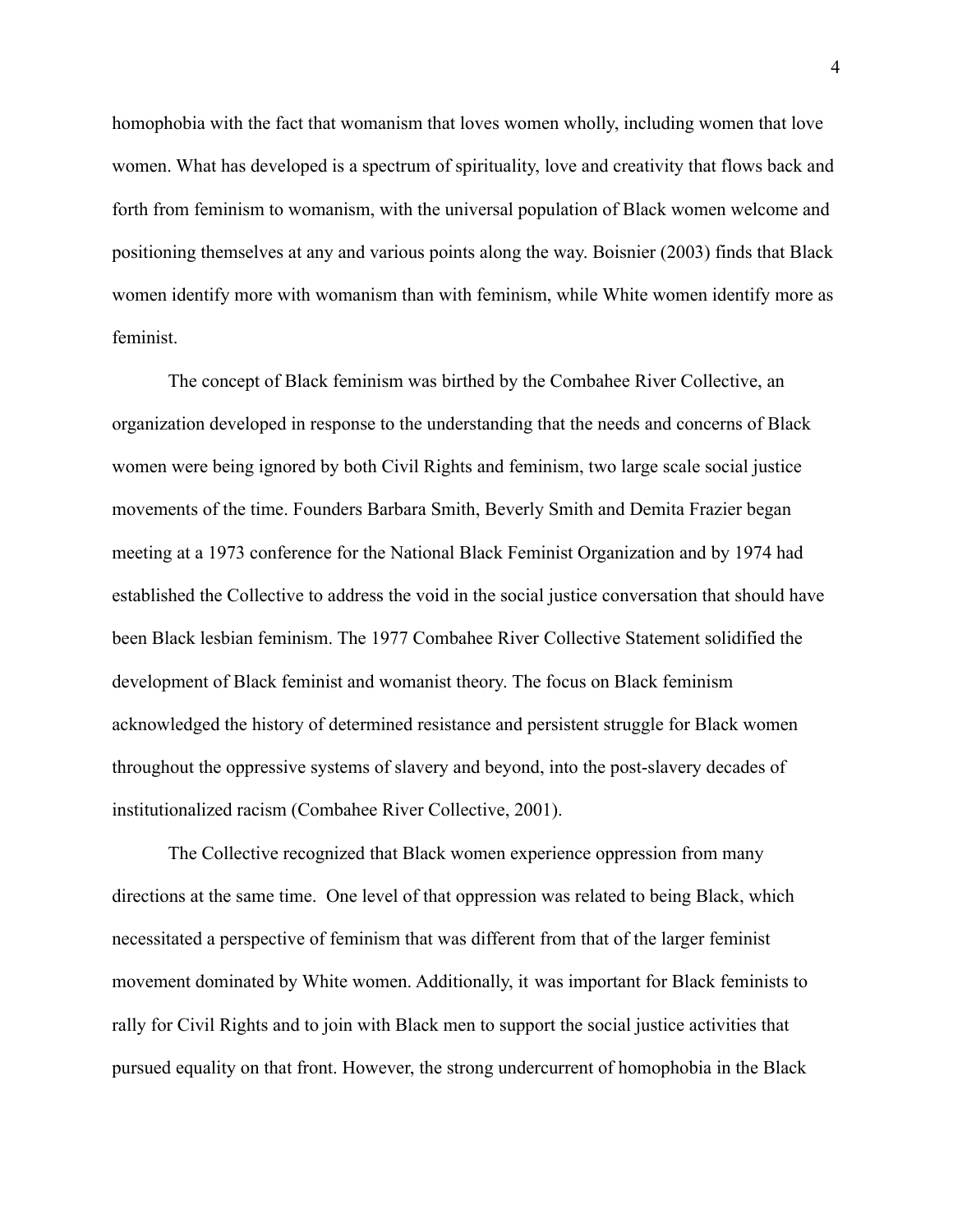homophobia with the fact that womanism that loves women wholly, including women that love women. What has developed is a spectrum of spirituality, love and creativity that flows back and forth from feminism to womanism, with the universal population of Black women welcome and positioning themselves at any and various points along the way. Boisnier (2003) finds that Black women identify more with womanism than with feminism, while White women identify more as feminist.

The concept of Black feminism was birthed by the Combahee River Collective, an organization developed in response to the understanding that the needs and concerns of Black women were being ignored by both Civil Rights and feminism, two large scale social justice movements of the time. Founders Barbara Smith, Beverly Smith and Demita Frazier began meeting at a 1973 conference for the National Black Feminist Organization and by 1974 had established the Collective to address the void in the social justice conversation that should have been Black lesbian feminism. The 1977 Combahee River Collective Statement solidified the development of Black feminist and womanist theory. The focus on Black feminism acknowledged the history of determined resistance and persistent struggle for Black women throughout the oppressive systems of slavery and beyond, into the post-slavery decades of institutionalized racism (Combahee River Collective, 2001).

The Collective recognized that Black women experience oppression from many directions at the same time. One level of that oppression was related to being Black, which necessitated a perspective of feminism that was different from that of the larger feminist movement dominated by White women. Additionally, it was important for Black feminists to rally for Civil Rights and to join with Black men to support the social justice activities that pursued equality on that front. However, the strong undercurrent of homophobia in the Black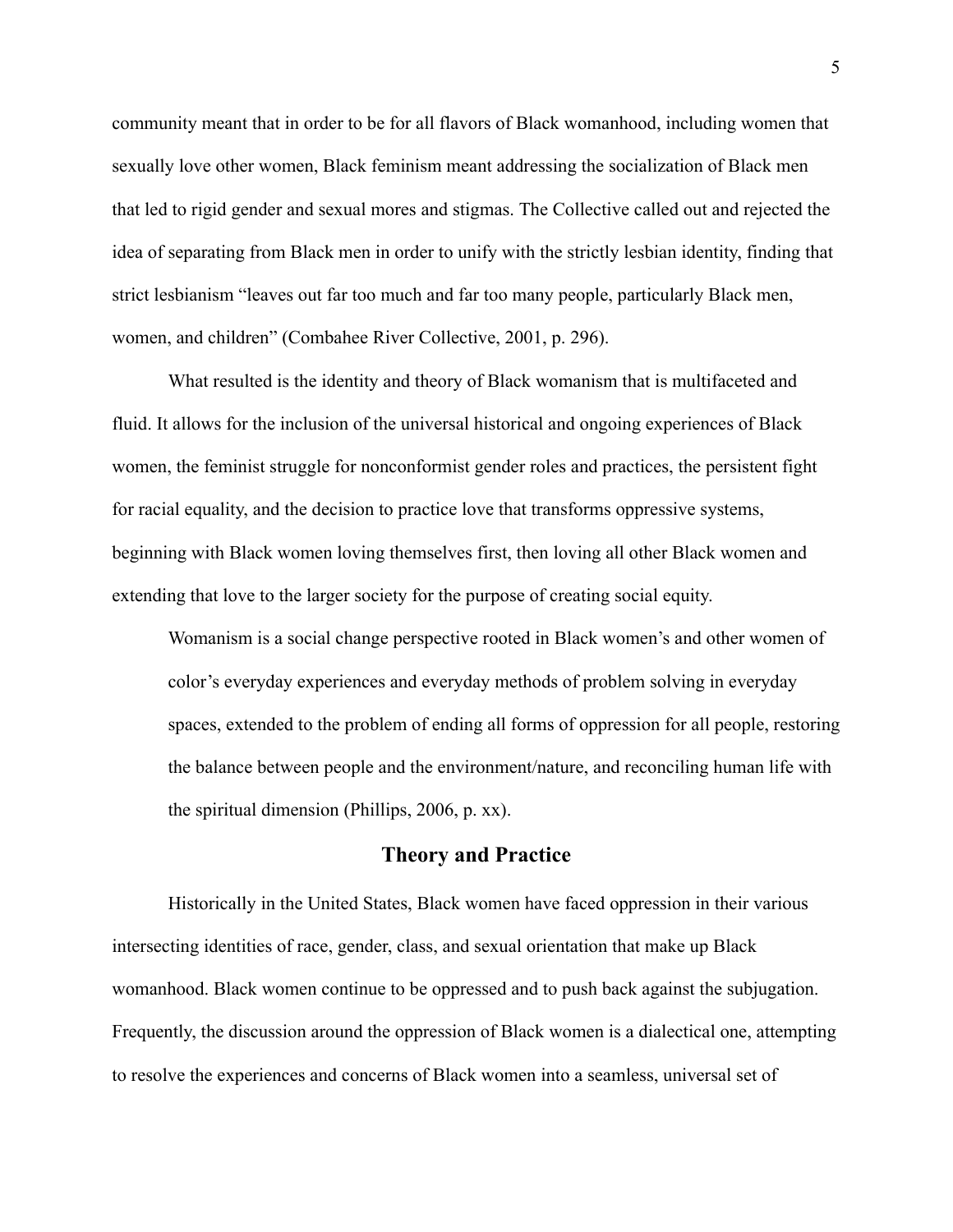community meant that in order to be for all flavors of Black womanhood, including women that sexually love other women, Black feminism meant addressing the socialization of Black men that led to rigid gender and sexual mores and stigmas. The Collective called out and rejected the idea of separating from Black men in order to unify with the strictly lesbian identity, finding that strict lesbianism "leaves out far too much and far too many people, particularly Black men, women, and children" (Combahee River Collective, 2001, p. 296).

What resulted is the identity and theory of Black womanism that is multifaceted and fluid. It allows for the inclusion of the universal historical and ongoing experiences of Black women, the feminist struggle for nonconformist gender roles and practices, the persistent fight for racial equality, and the decision to practice love that transforms oppressive systems, beginning with Black women loving themselves first, then loving all other Black women and extending that love to the larger society for the purpose of creating social equity.

Womanism is a social change perspective rooted in Black women's and other women of color's everyday experiences and everyday methods of problem solving in everyday spaces, extended to the problem of ending all forms of oppression for all people, restoring the balance between people and the environment/nature, and reconciling human life with the spiritual dimension (Phillips, 2006, p. xx).

### **Theory and Practice**

Historically in the United States, Black women have faced oppression in their various intersecting identities of race, gender, class, and sexual orientation that make up Black womanhood. Black women continue to be oppressed and to push back against the subjugation. Frequently, the discussion around the oppression of Black women is a dialectical one, attempting to resolve the experiences and concerns of Black women into a seamless, universal set of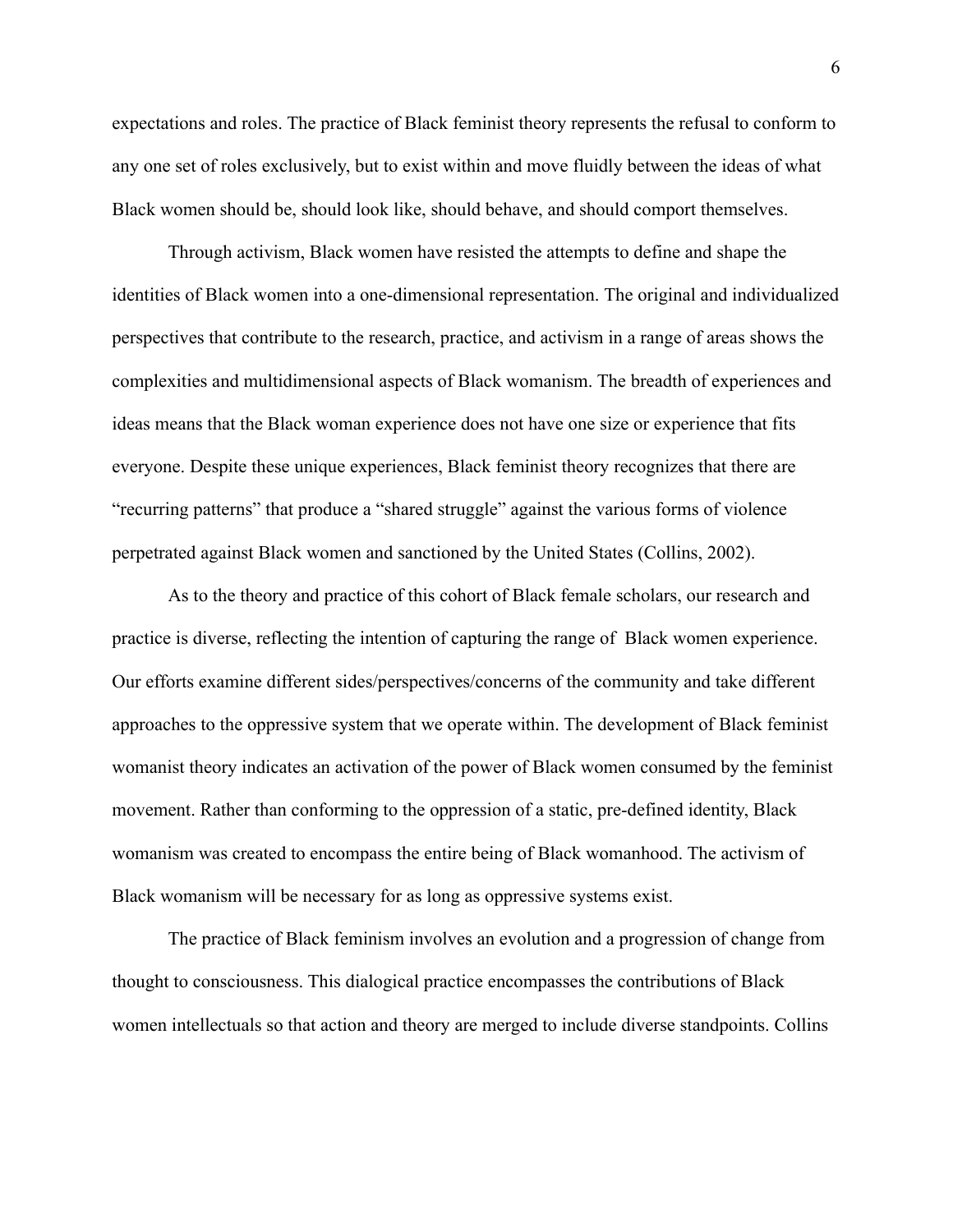expectations and roles. The practice of Black feminist theory represents the refusal to conform to any one set of roles exclusively, but to exist within and move fluidly between the ideas of what Black women should be, should look like, should behave, and should comport themselves.

Through activism, Black women have resisted the attempts to define and shape the identities of Black women into a one-dimensional representation. The original and individualized perspectives that contribute to the research, practice, and activism in a range of areas shows the complexities and multidimensional aspects of Black womanism. The breadth of experiences and ideas means that the Black woman experience does not have one size or experience that fits everyone. Despite these unique experiences, Black feminist theory recognizes that there are "recurring patterns" that produce a "shared struggle" against the various forms of violence perpetrated against Black women and sanctioned by the United States (Collins, 2002).

As to the theory and practice of this cohort of Black female scholars, our research and practice is diverse, reflecting the intention of capturing the range of Black women experience. Our efforts examine different sides/perspectives/concerns of the community and take different approaches to the oppressive system that we operate within. The development of Black feminist womanist theory indicates an activation of the power of Black women consumed by the feminist movement. Rather than conforming to the oppression of a static, pre-defined identity, Black womanism was created to encompass the entire being of Black womanhood. The activism of Black womanism will be necessary for as long as oppressive systems exist.

The practice of Black feminism involves an evolution and a progression of change from thought to consciousness. This dialogical practice encompasses the contributions of Black women intellectuals so that action and theory are merged to include diverse standpoints. Collins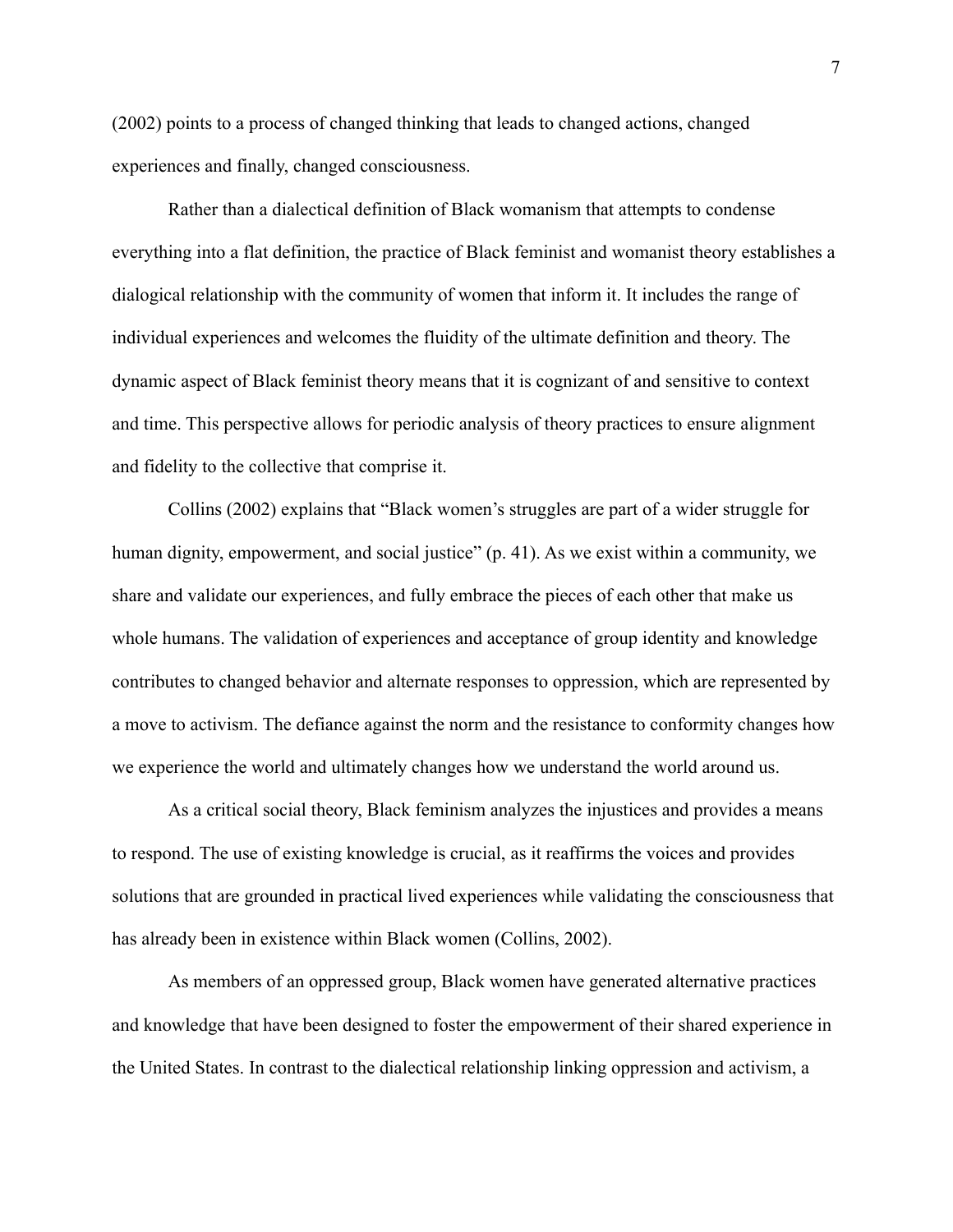(2002) points to a process of changed thinking that leads to changed actions, changed experiences and finally, changed consciousness.

Rather than a dialectical definition of Black womanism that attempts to condense everything into a flat definition, the practice of Black feminist and womanist theory establishes a dialogical relationship with the community of women that inform it. It includes the range of individual experiences and welcomes the fluidity of the ultimate definition and theory. The dynamic aspect of Black feminist theory means that it is cognizant of and sensitive to context and time. This perspective allows for periodic analysis of theory practices to ensure alignment and fidelity to the collective that comprise it.

Collins (2002) explains that "Black women's struggles are part of a wider struggle for human dignity, empowerment, and social justice" (p. 41). As we exist within a community, we share and validate our experiences, and fully embrace the pieces of each other that make us whole humans. The validation of experiences and acceptance of group identity and knowledge contributes to changed behavior and alternate responses to oppression, which are represented by a move to activism. The defiance against the norm and the resistance to conformity changes how we experience the world and ultimately changes how we understand the world around us.

As a critical social theory, Black feminism analyzes the injustices and provides a means to respond. The use of existing knowledge is crucial, as it reaffirms the voices and provides solutions that are grounded in practical lived experiences while validating the consciousness that has already been in existence within Black women (Collins, 2002).

As members of an oppressed group, Black women have generated alternative practices and knowledge that have been designed to foster the empowerment of their shared experience in the United States. In contrast to the dialectical relationship linking oppression and activism, a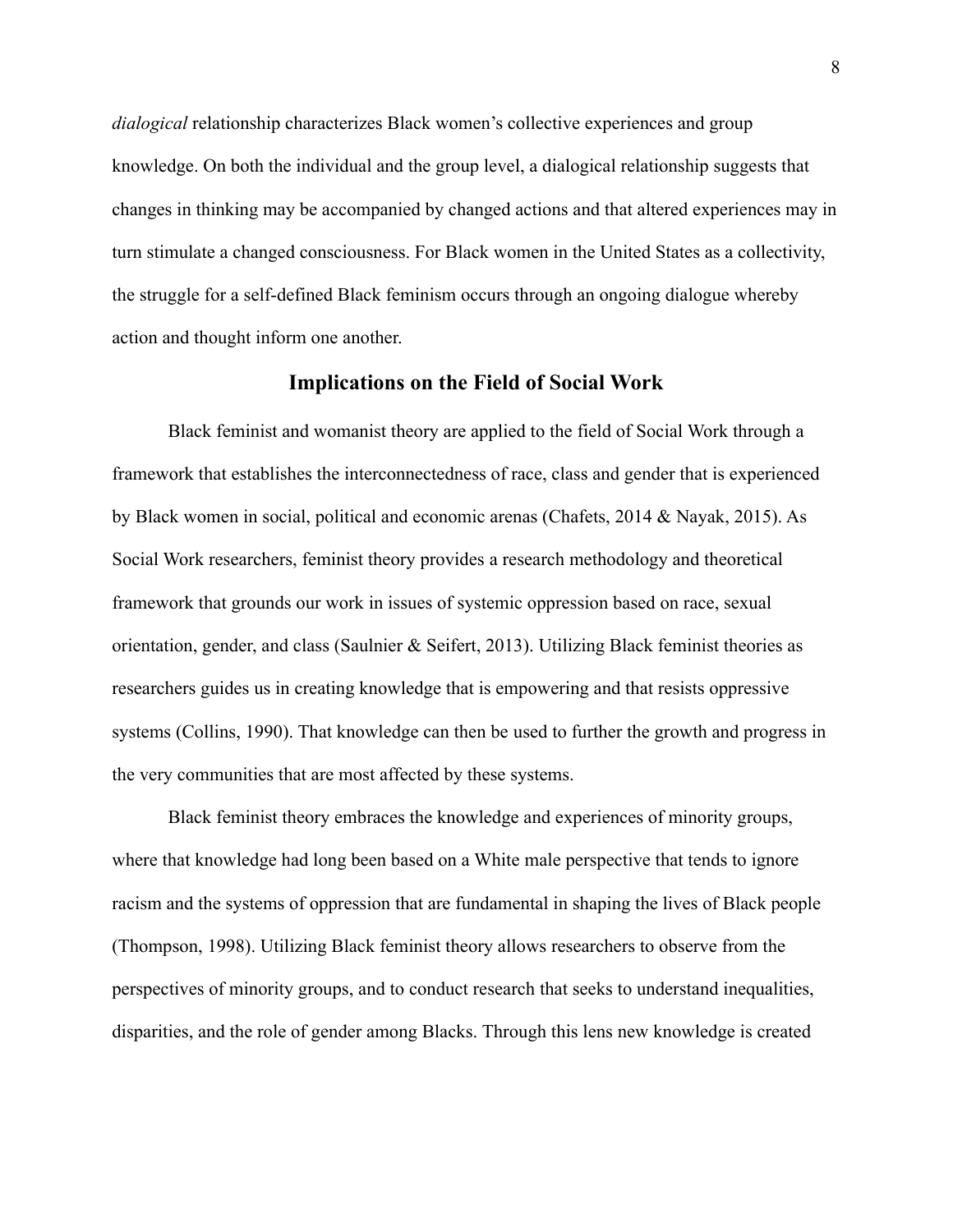*dialogical* relationship characterizes Black women's collective experiences and group knowledge. On both the individual and the group level, a dialogical relationship suggests that changes in thinking may be accompanied by changed actions and that altered experiences may in turn stimulate a changed consciousness. For Black women in the United States as a collectivity, the struggle for a self-defined Black feminism occurs through an ongoing dialogue whereby action and thought inform one another.

### **Implications on the Field of Social Work**

Black feminist and womanist theory are applied to the field of Social Work through a framework that establishes the interconnectedness of race, class and gender that is experienced by Black women in social, political and economic arenas (Chafets, 2014 & Nayak, 2015). As Social Work researchers, feminist theory provides a research methodology and theoretical framework that grounds our work in issues of systemic oppression based on race, sexual orientation, gender, and class (Saulnier  $\&$  Seifert, 2013). Utilizing Black feminist theories as researchers guides us in creating knowledge that is empowering and that resists oppressive systems (Collins, 1990). That knowledge can then be used to further the growth and progress in the very communities that are most affected by these systems.

Black feminist theory embraces the knowledge and experiences of minority groups, where that knowledge had long been based on a White male perspective that tends to ignore racism and the systems of oppression that are fundamental in shaping the lives of Black people (Thompson, 1998). Utilizing Black feminist theory allows researchers to observe from the perspectives of minority groups, and to conduct research that seeks to understand inequalities, disparities, and the role of gender among Blacks. Through this lens new knowledge is created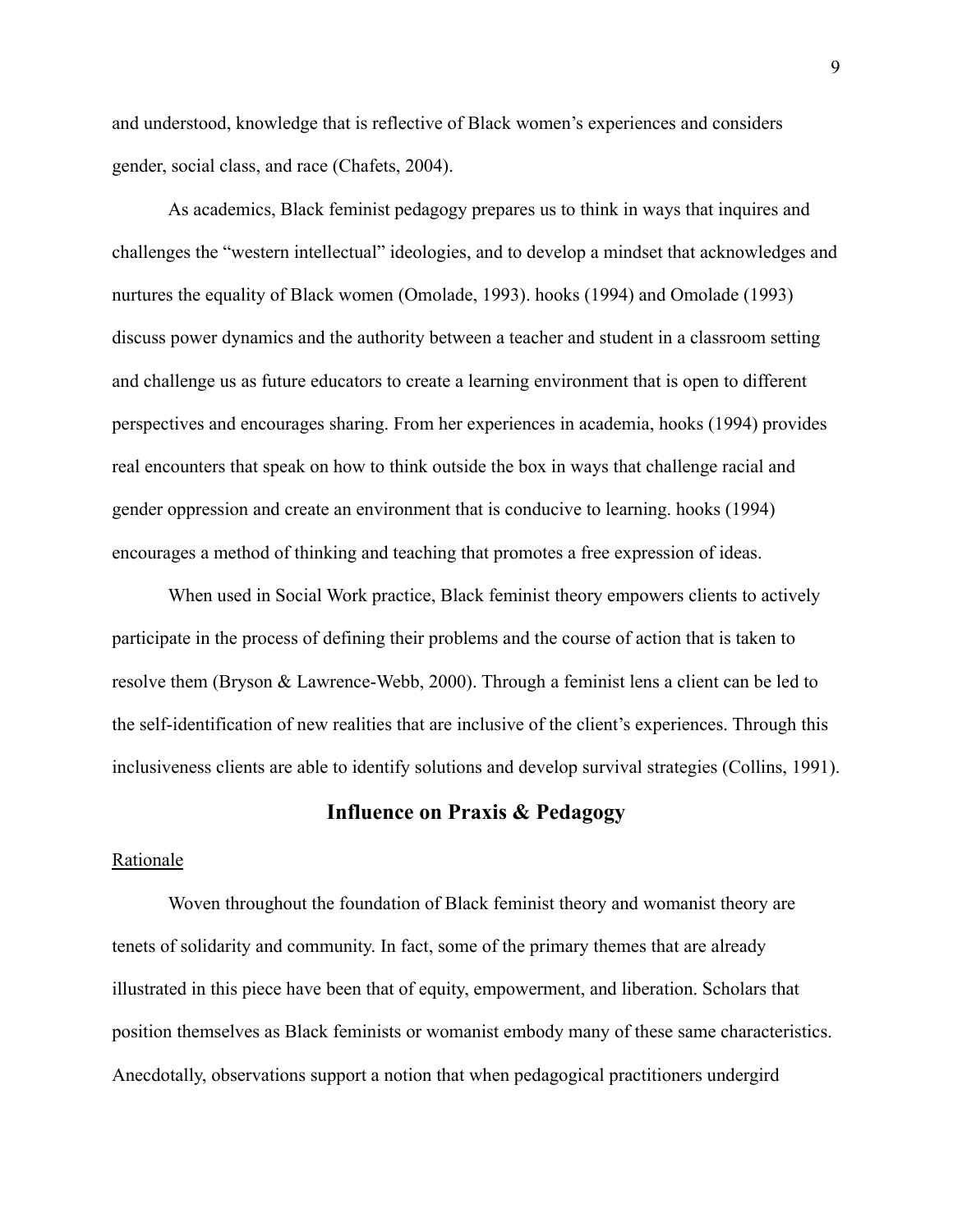and understood, knowledge that is reflective of Black women's experiences and considers gender, social class, and race (Chafets, 2004).

As academics, Black feminist pedagogy prepares us to think in ways that inquires and challenges the "western intellectual" ideologies, and to develop a mindset that acknowledges and nurtures the equality of Black women (Omolade, 1993). hooks (1994) and Omolade (1993) discuss power dynamics and the authority between a teacher and student in a classroom setting and challenge us as future educators to create a learning environment that is open to different perspectives and encourages sharing. From her experiences in academia, hooks (1994) provides real encounters that speak on how to think outside the box in ways that challenge racial and gender oppression and create an environment that is conducive to learning. hooks (1994) encourages a method of thinking and teaching that promotes a free expression of ideas.

When used in Social Work practice, Black feminist theory empowers clients to actively participate in the process of defining their problems and the course of action that is taken to resolve them (Bryson & Lawrence-Webb, 2000). Through a feminist lens a client can be led to the self-identification of new realities that are inclusive of the client's experiences. Through this inclusiveness clients are able to identify solutions and develop survival strategies (Collins, 1991).

# **Influence on Praxis & Pedagogy**

#### Rationale

Woven throughout the foundation of Black feminist theory and womanist theory are tenets of solidarity and community. In fact, some of the primary themes that are already illustrated in this piece have been that of equity, empowerment, and liberation. Scholars that position themselves as Black feminists or womanist embody many of these same characteristics. Anecdotally, observations support a notion that when pedagogical practitioners undergird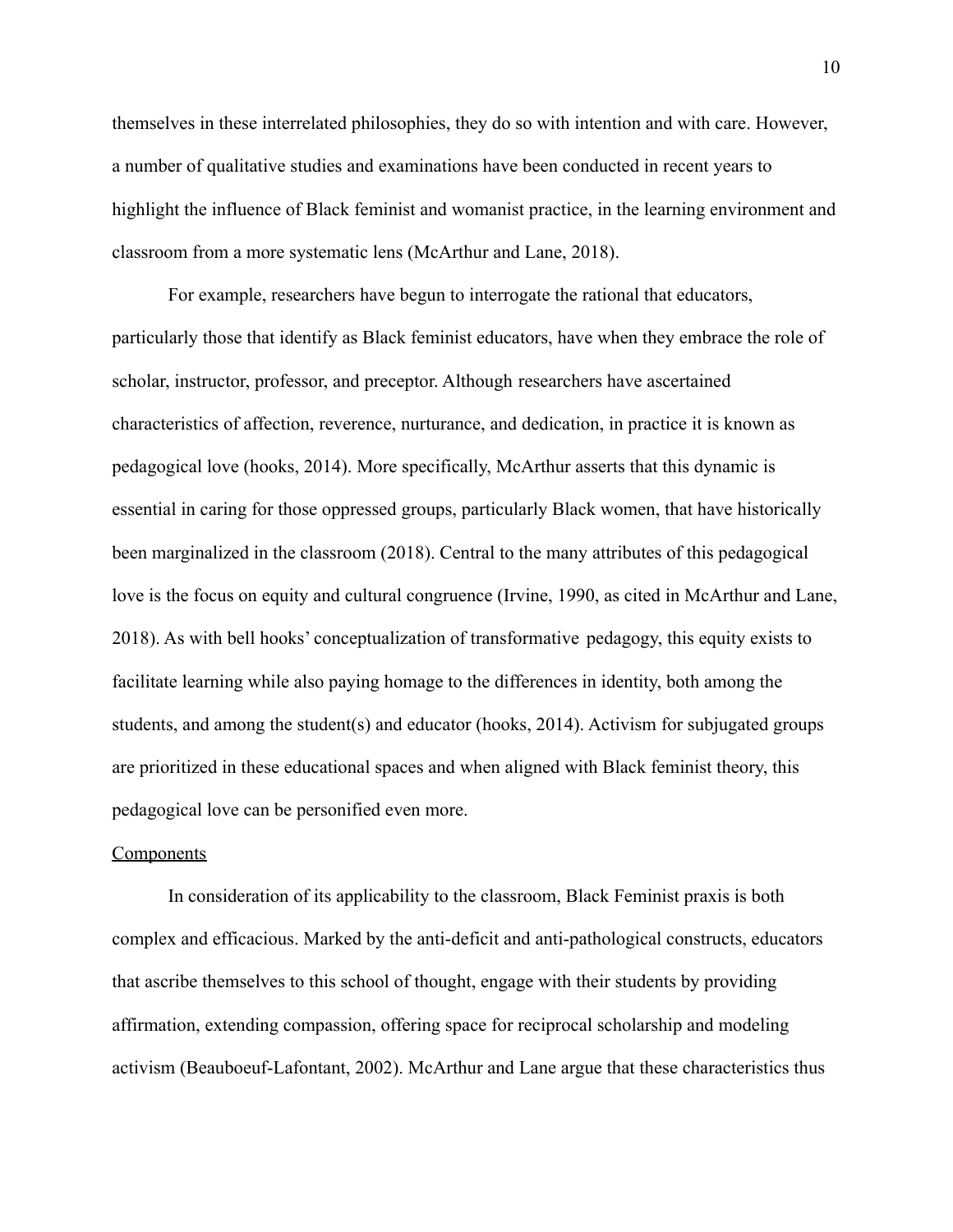themselves in these interrelated philosophies, they do so with intention and with care. However, a number of qualitative studies and examinations have been conducted in recent years to highlight the influence of Black feminist and womanist practice, in the learning environment and classroom from a more systematic lens (McArthur and Lane, 2018).

For example, researchers have begun to interrogate the rational that educators, particularly those that identify as Black feminist educators, have when they embrace the role of scholar, instructor, professor, and preceptor. Although researchers have ascertained characteristics of affection, reverence, nurturance, and dedication, in practice it is known as pedagogical love (hooks, 2014). More specifically, McArthur asserts that this dynamic is essential in caring for those oppressed groups, particularly Black women, that have historically been marginalized in the classroom (2018). Central to the many attributes of this pedagogical love is the focus on equity and cultural congruence (Irvine, 1990, as cited in McArthur and Lane, 2018). As with bell hooks' conceptualization of transformative pedagogy, this equity exists to facilitate learning while also paying homage to the differences in identity, both among the students, and among the student(s) and educator (hooks, 2014). Activism for subjugated groups are prioritized in these educational spaces and when aligned with Black feminist theory, this pedagogical love can be personified even more.

#### **Components**

In consideration of its applicability to the classroom, Black Feminist praxis is both complex and efficacious. Marked by the anti-deficit and anti-pathological constructs, educators that ascribe themselves to this school of thought, engage with their students by providing affirmation, extending compassion, offering space for reciprocal scholarship and modeling activism (Beauboeuf-Lafontant, 2002). McArthur and Lane argue that these characteristics thus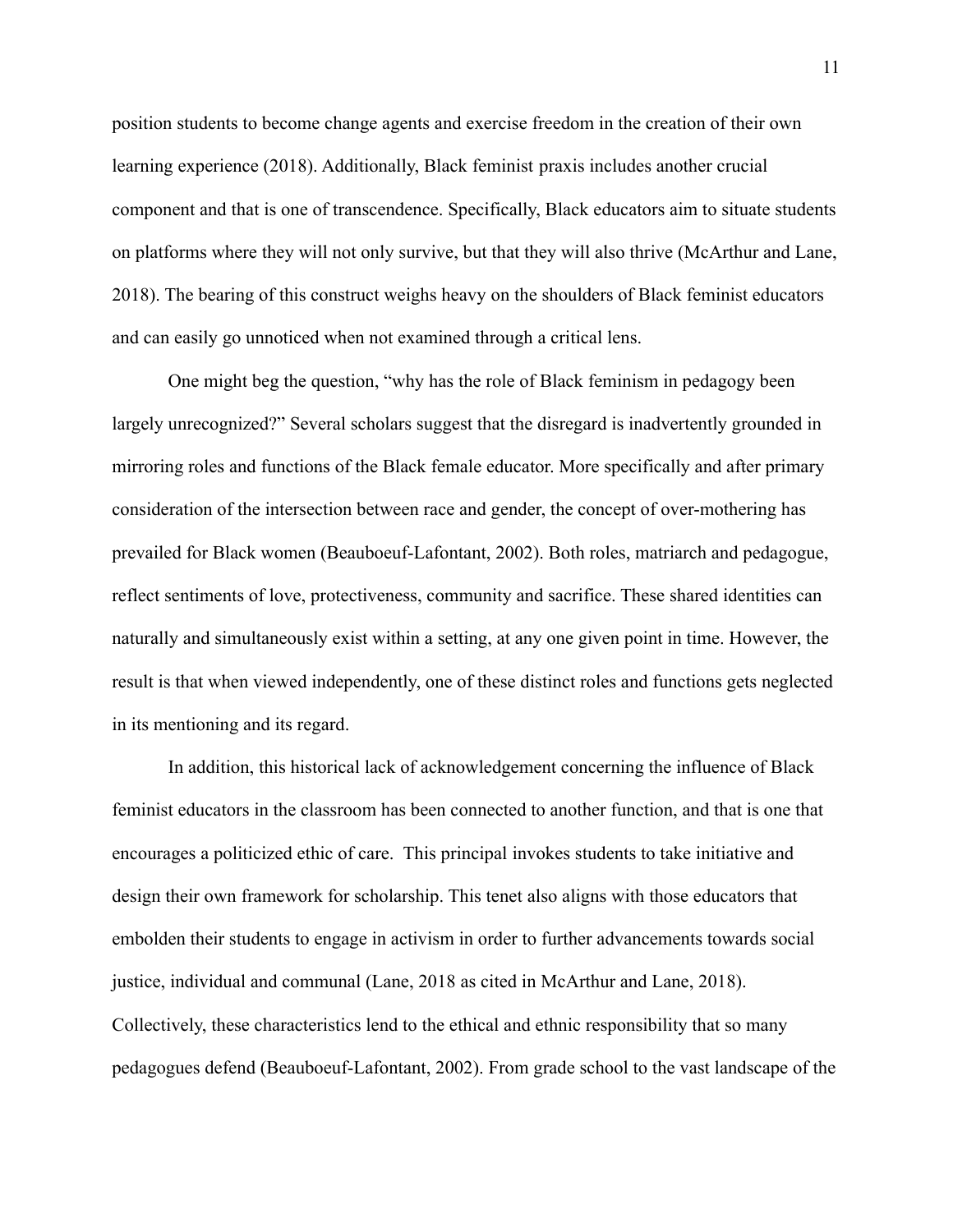position students to become change agents and exercise freedom in the creation of their own learning experience (2018). Additionally, Black feminist praxis includes another crucial component and that is one of transcendence. Specifically, Black educators aim to situate students on platforms where they will not only survive, but that they will also thrive (McArthur and Lane, 2018). The bearing of this construct weighs heavy on the shoulders of Black feminist educators and can easily go unnoticed when not examined through a critical lens.

One might beg the question, "why has the role of Black feminism in pedagogy been largely unrecognized?" Several scholars suggest that the disregard is inadvertently grounded in mirroring roles and functions of the Black female educator. More specifically and after primary consideration of the intersection between race and gender, the concept of over-mothering has prevailed for Black women (Beauboeuf-Lafontant, 2002). Both roles, matriarch and pedagogue, reflect sentiments of love, protectiveness, community and sacrifice. These shared identities can naturally and simultaneously exist within a setting, at any one given point in time. However, the result is that when viewed independently, one of these distinct roles and functions gets neglected in its mentioning and its regard.

In addition, this historical lack of acknowledgement concerning the influence of Black feminist educators in the classroom has been connected to another function, and that is one that encourages a politicized ethic of care. This principal invokes students to take initiative and design their own framework for scholarship. This tenet also aligns with those educators that embolden their students to engage in activism in order to further advancements towards social justice, individual and communal (Lane, 2018 as cited in McArthur and Lane, 2018). Collectively, these characteristics lend to the ethical and ethnic responsibility that so many pedagogues defend (Beauboeuf-Lafontant, 2002). From grade school to the vast landscape of the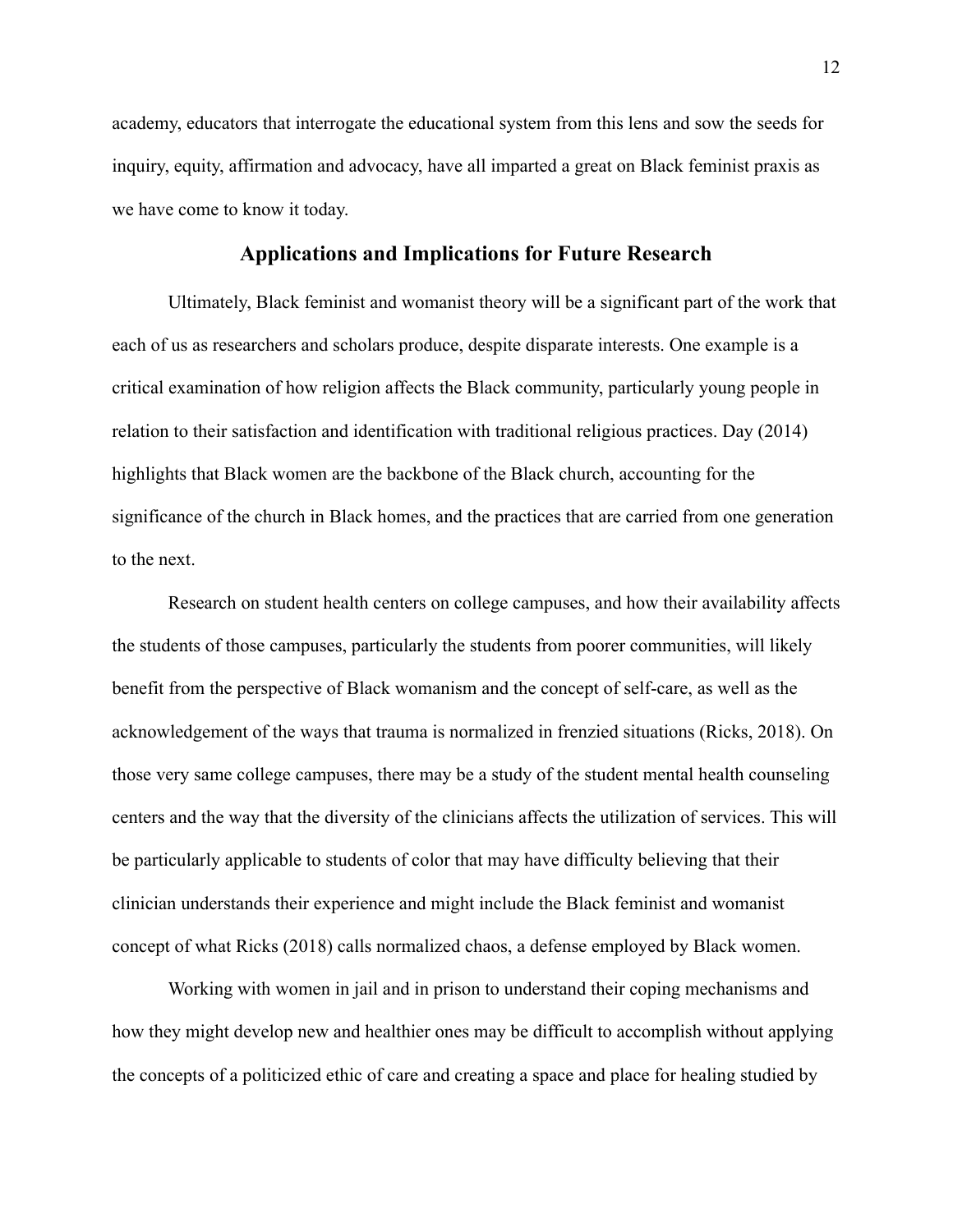academy, educators that interrogate the educational system from this lens and sow the seeds for inquiry, equity, affirmation and advocacy, have all imparted a great on Black feminist praxis as we have come to know it today.

### **Applications and Implications for Future Research**

Ultimately, Black feminist and womanist theory will be a significant part of the work that each of us as researchers and scholars produce, despite disparate interests. One example is a critical examination of how religion affects the Black community, particularly young people in relation to their satisfaction and identification with traditional religious practices. Day (2014) highlights that Black women are the backbone of the Black church, accounting for the significance of the church in Black homes, and the practices that are carried from one generation to the next.

Research on student health centers on college campuses, and how their availability affects the students of those campuses, particularly the students from poorer communities, will likely benefit from the perspective of Black womanism and the concept of self-care, as well as the acknowledgement of the ways that trauma is normalized in frenzied situations (Ricks, 2018). On those very same college campuses, there may be a study of the student mental health counseling centers and the way that the diversity of the clinicians affects the utilization of services. This will be particularly applicable to students of color that may have difficulty believing that their clinician understands their experience and might include the Black feminist and womanist concept of what Ricks (2018) calls normalized chaos, a defense employed by Black women.

Working with women in jail and in prison to understand their coping mechanisms and how they might develop new and healthier ones may be difficult to accomplish without applying the concepts of a politicized ethic of care and creating a space and place for healing studied by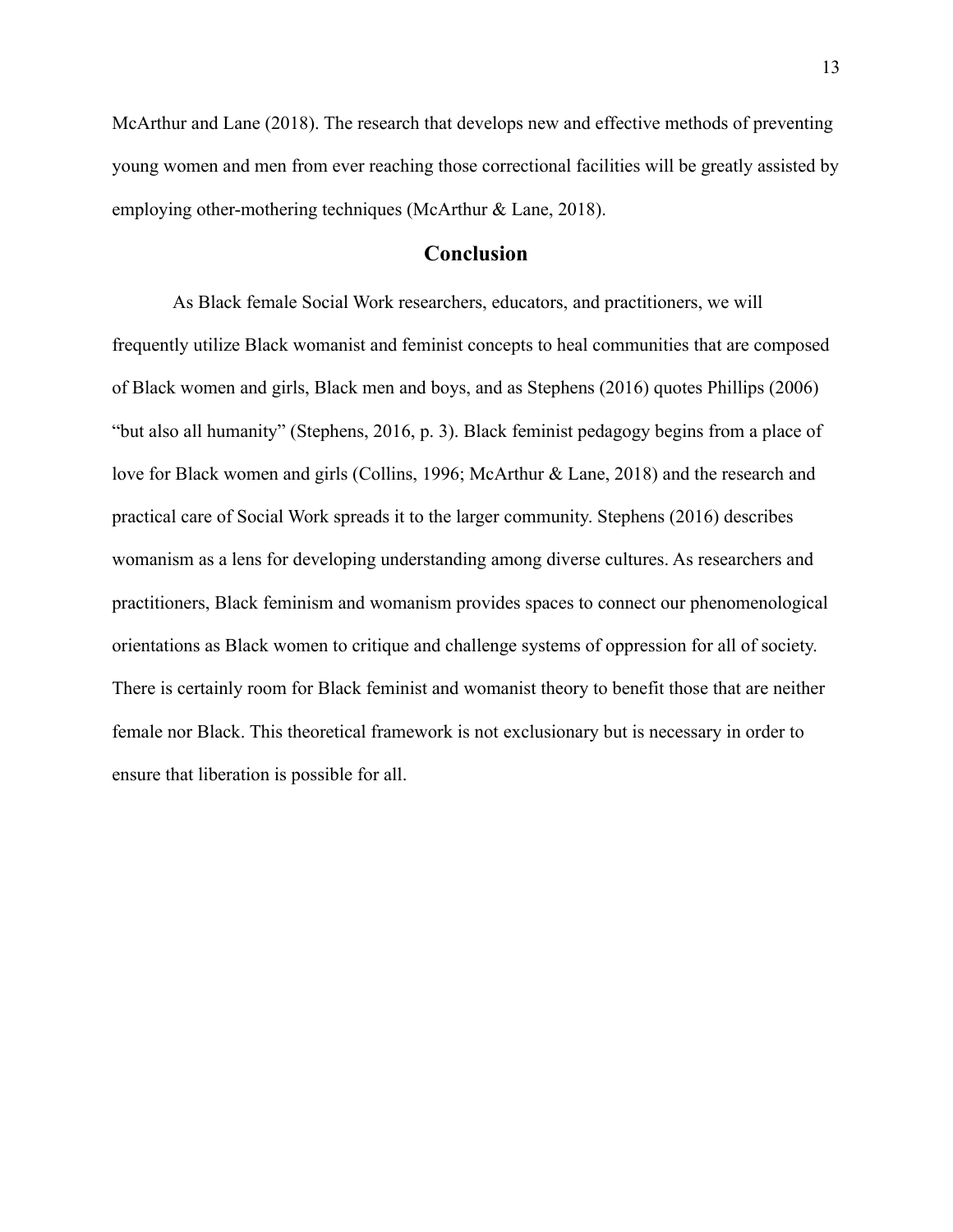McArthur and Lane (2018). The research that develops new and effective methods of preventing young women and men from ever reaching those correctional facilities will be greatly assisted by employing other-mothering techniques (McArthur & Lane, 2018).

# **Conclusion**

As Black female Social Work researchers, educators, and practitioners, we will frequently utilize Black womanist and feminist concepts to heal communities that are composed of Black women and girls, Black men and boys, and as Stephens (2016) quotes Phillips (2006) "but also all humanity" (Stephens, 2016, p. 3). Black feminist pedagogy begins from a place of love for Black women and girls (Collins, 1996; McArthur & Lane, 2018) and the research and practical care of Social Work spreads it to the larger community. Stephens (2016) describes womanism as a lens for developing understanding among diverse cultures. As researchers and practitioners, Black feminism and womanism provides spaces to connect our phenomenological orientations as Black women to critique and challenge systems of oppression for all of society. There is certainly room for Black feminist and womanist theory to benefit those that are neither female nor Black. This theoretical framework is not exclusionary but is necessary in order to ensure that liberation is possible for all.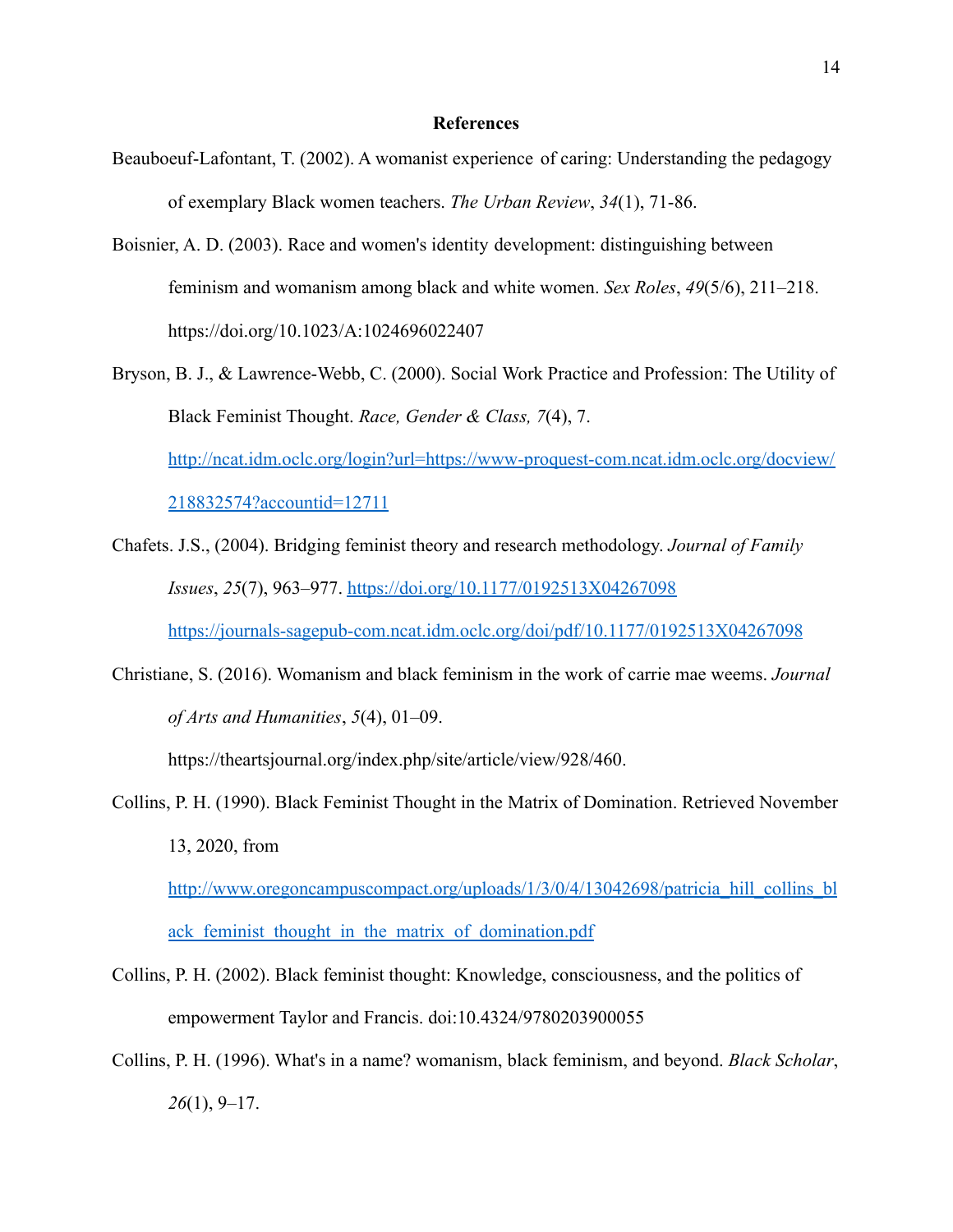#### **References**

- Beauboeuf-Lafontant, T. (2002). A womanist experience of caring: Understanding the pedagogy of exemplary Black women teachers. *The Urban Review*, *34*(1), 71-86.
- Boisnier, A. D. (2003). Race and women's identity development: distinguishing between feminism and womanism among black and white women. *Sex Roles*, *49*(5/6), 211–218. https://doi.org/10.1023/A:1024696022407
- Bryson, B. J., & Lawrence-Webb, C. (2000). Social Work Practice and Profession: The Utility of Black Feminist Thought. *Race, Gender & Class, 7*(4), 7. [http://ncat.idm.oclc.org/login?url=https://www-proquest-com.ncat.idm.oclc.org/docview/](http://ncat.idm.oclc.org/login?url=https://www-proquest-com.ncat.idm.oclc.org/docview/218832574?accountid=12711) [218832574?accountid=12711](http://ncat.idm.oclc.org/login?url=https://www-proquest-com.ncat.idm.oclc.org/docview/218832574?accountid=12711)
- Chafets. J.S., (2004). Bridging feminist theory and research methodology. *Journal of Family Issues*, *25*(7), 963–977. <https://doi.org/10.1177/0192513X04267098> <https://journals-sagepub-com.ncat.idm.oclc.org/doi/pdf/10.1177/0192513X04267098>
- Christiane, S. (2016). Womanism and black feminism in the work of carrie mae weems. *Journal of Arts and Humanities*, *5*(4), 01–09.

https://theartsjournal.org/index.php/site/article/view/928/460.

Collins, P. H. (1990). Black Feminist Thought in the Matrix of Domination. Retrieved November 13, 2020, from

http://www.oregoncampuscompact.org/uploads/1/3/0/4/13042698/patricia hill collins bl ack feminist thought in the matrix of domination.pdf

- Collins, P. H. (2002). Black feminist thought: Knowledge, consciousness, and the politics of empowerment Taylor and Francis. doi:10.4324/9780203900055
- Collins, P. H. (1996). What's in a name? womanism, black feminism, and beyond. *Black Scholar*, *26*(1), 9–17.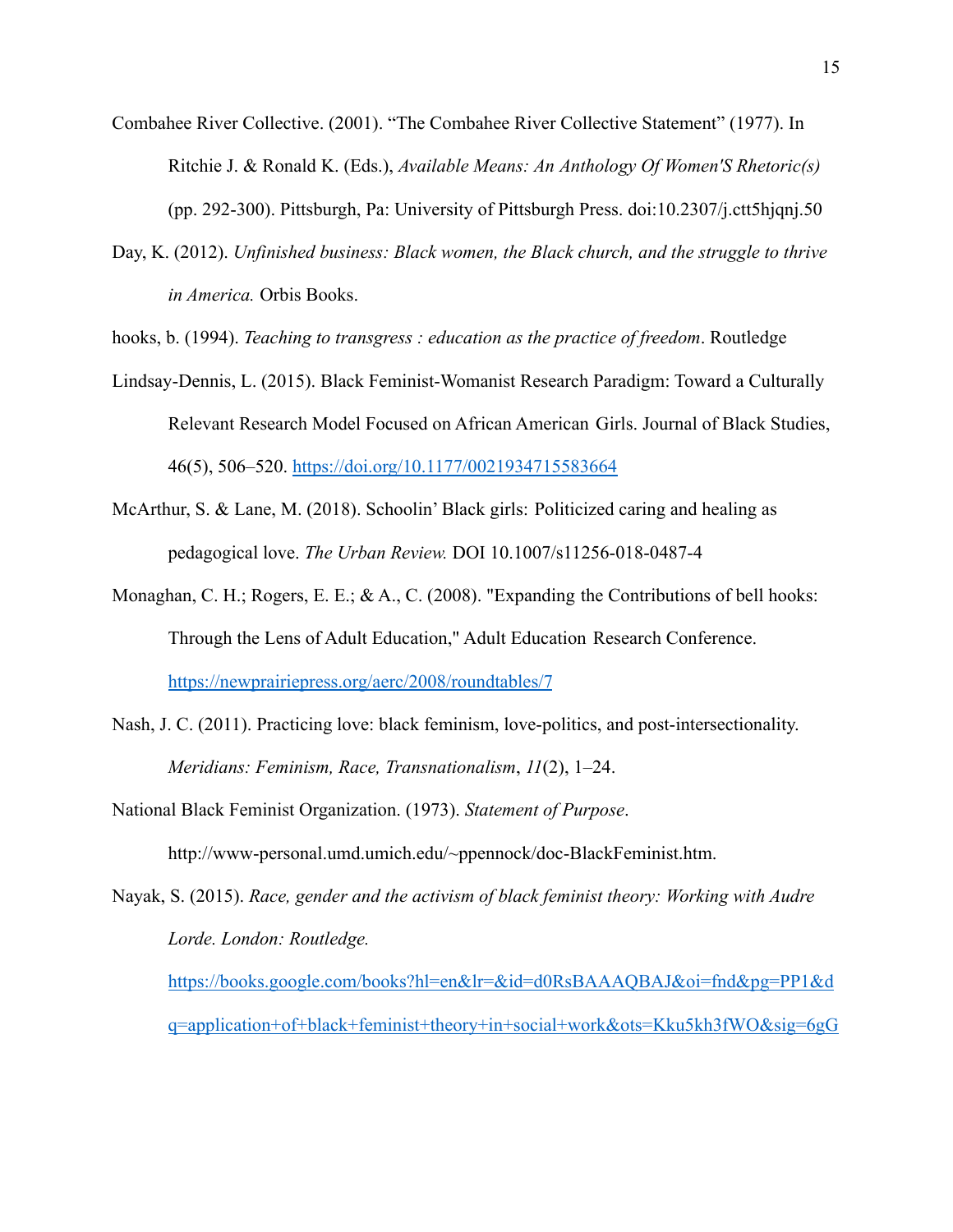- Combahee River Collective. (2001). "The Combahee River Collective Statement" (1977). In Ritchie J. & Ronald K. (Eds.), *Available Means: An Anthology Of Women'S Rhetoric(s)* (pp. 292-300). Pittsburgh, Pa: University of Pittsburgh Press. doi:10.2307/j.ctt5hjqnj.50
- Day, K. (2012). *Unfinished business: Black women, the Black church, and the struggle to thrive in America.* Orbis Books.

hooks, b. (1994). *Teaching to transgress : education as the practice of freedom*. Routledge

- Lindsay-Dennis, L. (2015). Black Feminist-Womanist Research Paradigm: Toward a Culturally Relevant Research Model Focused on African American Girls. Journal of Black Studies, 46(5), 506–520. <https://doi.org/10.1177/0021934715583664>
- McArthur, S. & Lane, M. (2018). Schoolin' Black girls: Politicized caring and healing as pedagogical love. *The Urban Review.* DOI 10.1007/s11256-018-0487-4
- Monaghan, C. H.; Rogers, E. E.; & A., C. (2008). "Expanding the Contributions of bell hooks: Through the Lens of Adult Education," Adult Education Research Conference. <https://newprairiepress.org/aerc/2008/roundtables/7>
- Nash, J. C. (2011). Practicing love: black feminism, love-politics, and post-intersectionality. *Meridians: Feminism, Race, Transnationalism*, *11*(2), 1–24.
- National Black Feminist Organization. (1973). *Statement of Purpose*. http://www-personal.umd.umich.edu/~ppennock/doc-BlackFeminist.htm.
- Nayak, S. (2015). *Race, gender and the activism of black feminist theory: Working with Audre Lorde. London: Routledge.*

[https://books.google.com/books?hl=en&lr=&id=d0RsBAAAQBAJ&oi=fnd&pg=PP1&d](https://books.google.com/books?hl=en&lr=&id=d0RsBAAAQBAJ&oi=fnd&pg=PP1&dq=application+of+black+feminist+theory+in+social+work&ots=Kku5kh3fWO&sig=6gG8okPERIot6y9rGAMG-NKjnx0#v=onepage&q=application%20of%20black%20feminist%20theory%20in%20social%20work&f=false) [q=application+of+black+feminist+theory+in+social+work&ots=Kku5kh3fWO&sig=6gG](https://books.google.com/books?hl=en&lr=&id=d0RsBAAAQBAJ&oi=fnd&pg=PP1&dq=application+of+black+feminist+theory+in+social+work&ots=Kku5kh3fWO&sig=6gG8okPERIot6y9rGAMG-NKjnx0#v=onepage&q=application%20of%20black%20feminist%20theory%20in%20social%20work&f=false)